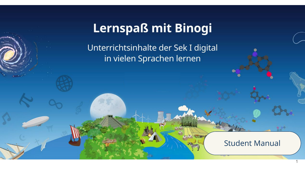# **Lernspaß mit Binogi**

Unterrichtsinhalte der Sek I digital in vielen Sprachen lernen

# Student Manual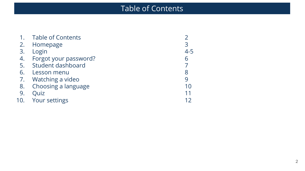# Table of Contents

|     | <b>Table of Contents</b> |         |
|-----|--------------------------|---------|
|     | 2. Homepage              | 3       |
| 3.  | Login                    | $4 - 5$ |
| 4.  | Forgot your password?    | 6       |
|     | 5. Student dashboard     |         |
| 6.  | Lesson menu              | 8       |
|     | 7. Watching a video      | 9       |
| 8.  | Choosing a language      | 10      |
| 9.  | Quiz                     | 11      |
| 10. | <b>Your settings</b>     |         |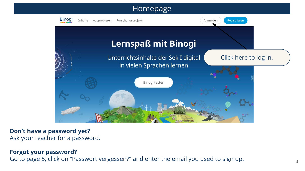### Homepage



#### **Don't have a password yet?** Ask your teacher for a password.

#### **Forgot your password?**

Go to page 5, click on "Passwort vergessen?" and enter the email you used to sign up.  $\frac{3}{3}$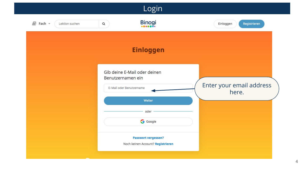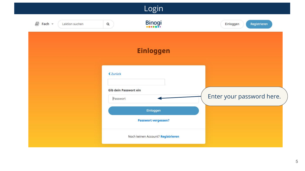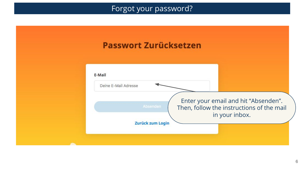## Forgot your password?

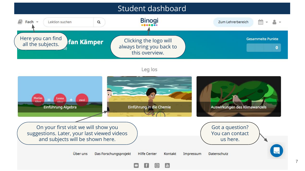

#### Leg los

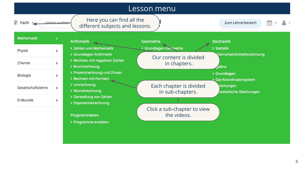

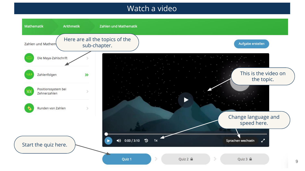## Watch a video

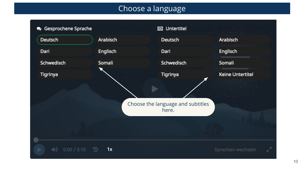# Choose a language

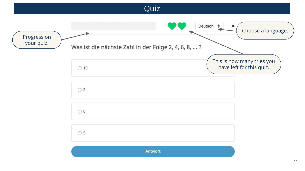